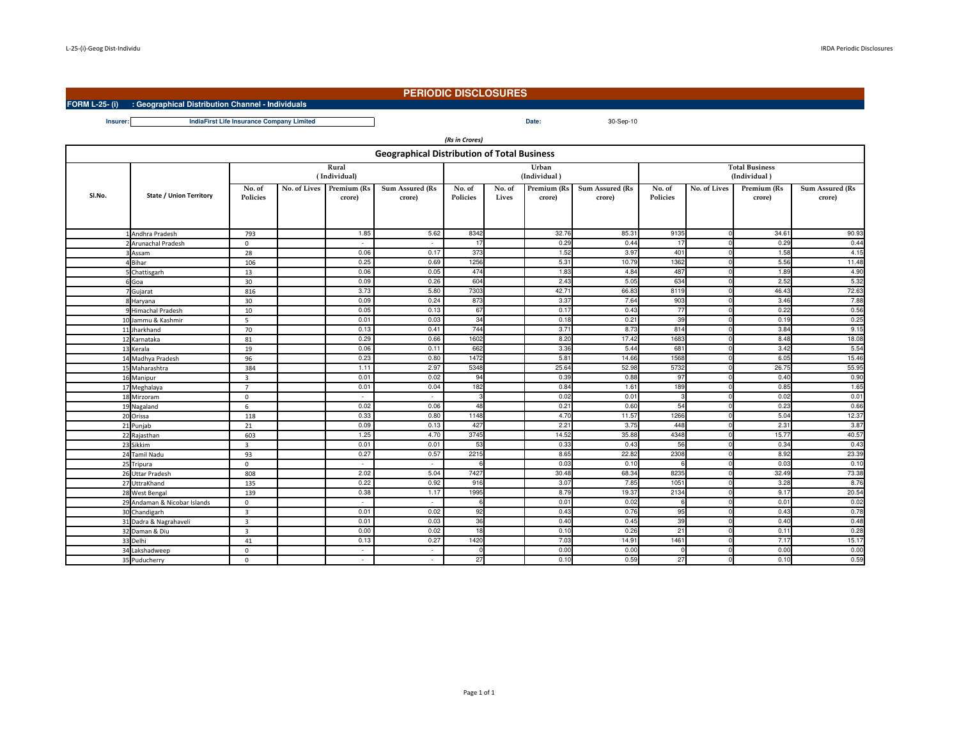**FORM L-25- (i) : Geographical Distribution Channel - Individuals**

## **PERIODIC DISCLOSURES**

Date: 30-Sep-10

**Insurer:Date:IndiaFirst Life Insurance Company Limited**

| (Rs in Crores)                                     |                                |                           |  |                                    |                                  |                    |                 |                       |                                  |                                       |              |                       |                           |
|----------------------------------------------------|--------------------------------|---------------------------|--|------------------------------------|----------------------------------|--------------------|-----------------|-----------------------|----------------------------------|---------------------------------------|--------------|-----------------------|---------------------------|
| <b>Geographical Distribution of Total Business</b> |                                |                           |  |                                    |                                  |                    |                 |                       |                                  |                                       |              |                       |                           |
|                                                    |                                | Rural<br>(Individual)     |  |                                    |                                  |                    |                 | Urban<br>(Individual) |                                  | <b>Total Business</b><br>(Individual) |              |                       |                           |
| SI.No.                                             | <b>State / Union Territory</b> | No. of<br><b>Policies</b> |  | No. of Lives Premium (Rs<br>crore) | <b>Sum Assured (Rs</b><br>crore) | No. of<br>Policies | No. of<br>Lives | Premium (Rs<br>crore) | <b>Sum Assured (Rs</b><br>crore) | No. of<br>Policies                    | No. of Lives | Premium (Rs<br>crore) | Sum Assured (Rs<br>crore) |
|                                                    |                                |                           |  |                                    |                                  |                    |                 |                       |                                  |                                       |              |                       |                           |
|                                                    | Andhra Pradesh                 | 793                       |  | 1.85                               | 5.62                             | 8342               |                 | 32.76                 | 85.31                            | 9135                                  |              | 34.61                 | 90.93                     |
|                                                    | Arunachal Pradesh              | $\mathbf{0}$              |  | $\sim$                             | $\sim$                           | 17                 |                 | 0.29                  | 0.44                             | 17                                    |              | 0.29                  | 0.44                      |
|                                                    | Assam                          | 28                        |  | 0.06                               | 0.17                             | 373                |                 | 1.52                  | 3.97                             | 401                                   |              | 1.58                  | 4.15                      |
|                                                    | Bihar                          | 106                       |  | 0.25                               | 0.69                             | 1256               |                 | 5.31                  | 10.79                            | 1362                                  |              | 5.56                  | 11.48                     |
|                                                    | Chattisgarh                    | 13                        |  | 0.06                               | 0.05                             | 474                |                 | 1.83                  | 4.84                             | 487                                   |              | 1.89                  | 4.90                      |
|                                                    | 6 Goa                          | 30                        |  | 0.09                               | 0.26                             | 604                |                 | 2.43                  | 5.05                             | 634                                   |              | 2.52                  | 5.32                      |
|                                                    | 7 Gujarat                      | 816                       |  | 3.73                               | 5.80                             | 7303               |                 | 42.7                  | 66.83                            | 8119                                  |              | 46.43                 | 72.63                     |
|                                                    | 8 Haryana                      | 30                        |  | 0.09                               | 0.24                             | 873                |                 | 3.37                  | 7.64                             | 903                                   |              | 3.46                  | 7.88                      |
|                                                    | 9 Himachal Pradesh             | 10                        |  | 0.05                               | 0.13                             | 67                 |                 | 0.17                  | 0.43                             | 77                                    |              | 0.22                  | 0.56                      |
|                                                    | 10 Jammu & Kashmir             | 5                         |  | 0.01                               | 0.03                             | 34                 |                 | 0.18                  | 0.21                             | 39                                    |              | 0.19                  | 0.25                      |
|                                                    | 11 Jharkhand                   | 70                        |  | 0.13                               | 0.41                             | 744                |                 | 3.71                  | 8.73                             | 814                                   |              | 3.84                  | 9.15                      |
|                                                    | 12 Karnataka                   | 81                        |  | 0.29                               | 0.66                             | 1602               |                 | 8.20                  | 17.42                            | 1683                                  |              | 8.48                  | 18.08                     |
|                                                    | 13 Kerala                      | 19                        |  | 0.06                               | 0.11                             | 662                |                 | 3.36                  | 5.44                             | 681                                   |              | 3.42                  | 5.54                      |
|                                                    | 14 Madhya Pradesh              | 96                        |  | 0.23                               | 0.80                             | 1472               |                 | 5.81                  | 14.66                            | 1568                                  |              | 6.05                  | 15.46                     |
|                                                    | 15 Maharashtra                 | 384                       |  | 1.11                               | 2.97                             | 5348               |                 | 25.64                 | 52.98                            | 5732                                  |              | 26.75                 | 55.95                     |
|                                                    | 16 Manipur                     | $\overline{3}$            |  | 0.01                               | 0.02                             | 94                 |                 | 0.39                  | 0.88                             | 97                                    |              | 0.40                  | 0.90                      |
|                                                    | 17 Meghalaya                   | $\overline{7}$            |  | 0.01                               | 0.04                             | 182                |                 | 0.84                  | 1.61                             | 189                                   |              | 0.85                  | 1.65                      |
|                                                    | 18 Mirzoram                    | $\Omega$                  |  |                                    | $\sim$                           |                    |                 | 0.02                  | 0.01                             |                                       |              | 0.02                  | 0.01                      |
|                                                    | 19 Nagaland                    | 6                         |  | 0.02                               | 0.06                             | 48                 |                 | 0.21                  | 0.60                             | 54                                    |              | 0.23                  | 0.66                      |
|                                                    | 20 Orissa                      | 118                       |  | 0.33                               | 0.80                             | 1148               |                 | 4.70                  | 11.57                            | 1266                                  |              | 5.04                  | 12.37                     |
|                                                    | 21 Punjab                      | 21                        |  | 0.09                               | 0.13                             | 427                |                 | 2.21                  | 3.75                             | 448                                   |              | 2.31                  | 3.87                      |
|                                                    | 22 Rajasthan                   | 603                       |  | 1.25                               | 4.70                             | 3745               |                 | 14.52                 | 35.88                            | 4348                                  |              | 15.77                 | 40.57                     |
|                                                    | 23 Sikkim                      | 3                         |  | 0.01                               | 0.01                             | 53                 |                 | 0.33                  | 0.43                             | 56                                    |              | 0.34                  | 0.43                      |
|                                                    | 24 Tamil Nadu                  | 93                        |  | 0.27                               | 0.57                             | 2215               |                 | 8.65                  | 22.82                            | 2308                                  |              | 8.92                  | 23.39                     |
|                                                    | 25 Tripura                     | $\mathbf{0}$              |  | $\sim$                             | $\sim$                           | $\epsilon$         |                 | 0.03                  | 0.10                             | 6                                     |              | 0.03                  | 0.10                      |
|                                                    | 26 Uttar Pradesh               | 808                       |  | 2.02                               | 5.04                             | 7427               |                 | 30.48                 | 68.34                            | 8235                                  |              | 32.49                 | 73.38                     |
|                                                    | 27 UttraKhand                  | 135                       |  | 0.22                               | 0.92                             | 916                |                 | 3.07                  | 7.85                             | 1051                                  |              | 3.28                  | 8.76                      |
|                                                    | 28 West Bengal                 | 139                       |  | 0.38                               | 1.17                             | 1995               |                 | 8.79                  | 19.37                            | 2134                                  |              | 9.17                  | 20.54                     |
|                                                    | 29 Andaman & Nicobar Islands   | $\mathbf 0$               |  | ٠                                  | $\sim$                           | $\epsilon$         |                 | 0.01                  | 0.02                             | 6                                     |              | 0.01                  | 0.02                      |
|                                                    | 30 Chandigarh                  | $\overline{3}$            |  | 0.01                               | 0.02                             | 92                 |                 | 0.43                  | 0.76                             | 95                                    |              | 0.43                  | 0.78                      |
|                                                    | 31 Dadra & Nagrahaveli         | $\overline{\mathbf{3}}$   |  | 0.01                               | 0.03                             | 36                 |                 | 0.40                  | 0.45                             | 39                                    |              | 0.40                  | 0.48                      |
|                                                    | 32 Daman & Diu                 | $\overline{\mathbf{3}}$   |  | 0.00                               | 0.02                             | 18                 |                 | 0.10                  | 0.26                             | 21                                    |              | 0.11                  | 0.28                      |
|                                                    | 33 Delhi                       | 41                        |  | 0.13                               | 0.27                             | 1420               |                 | 7.03                  | 14.91                            | 1461                                  |              | 7.17                  | 15.17                     |
|                                                    | 34 Lakshadweep                 | $\mathbf 0$               |  | ٠                                  | $\sim$                           | $\mathsf{C}$       |                 | 0.00                  | 0.00                             | $\Omega$                              |              | 0.00                  | 0.00                      |
|                                                    | 35 Puducherry                  | $\mathbf 0$               |  | ٠                                  | $\overline{\phantom{a}}$         | 27                 |                 | 0.10                  | 0.59                             | 27                                    |              | 0.10                  | 0.59                      |